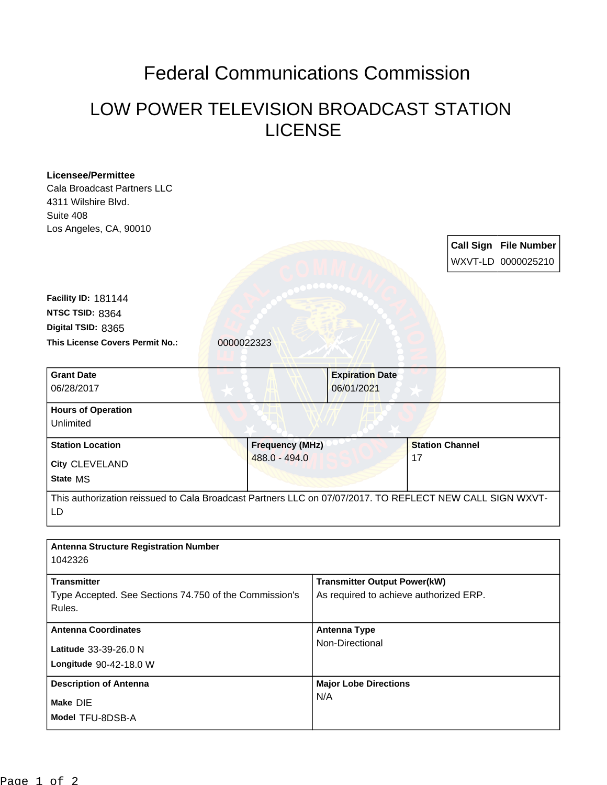## Federal Communications Commission

## LOW POWER TELEVISION BROADCAST STATION LICENSE

| <b>Licensee/Permittee</b>                                                                                |                        |                                        |                                     |  |
|----------------------------------------------------------------------------------------------------------|------------------------|----------------------------------------|-------------------------------------|--|
| Cala Broadcast Partners LLC                                                                              |                        |                                        |                                     |  |
| 4311 Wilshire Blvd.                                                                                      |                        |                                        |                                     |  |
| Suite 408                                                                                                |                        |                                        |                                     |  |
| Los Angeles, CA, 90010                                                                                   |                        |                                        |                                     |  |
|                                                                                                          |                        |                                        | Call Sign File Number               |  |
|                                                                                                          |                        |                                        | WXVT-LD 0000025210                  |  |
|                                                                                                          |                        |                                        |                                     |  |
| Facility ID: 181144                                                                                      |                        |                                        |                                     |  |
| NTSC TSID: 8364                                                                                          |                        |                                        |                                     |  |
| Digital TSID: 8365                                                                                       |                        |                                        |                                     |  |
| <b>This License Covers Permit No.:</b>                                                                   | 0000022323             |                                        |                                     |  |
|                                                                                                          |                        |                                        |                                     |  |
| <b>Grant Date</b>                                                                                        |                        | <b>Expiration Date</b>                 |                                     |  |
| 06/28/2017                                                                                               |                        | 06/01/2021                             |                                     |  |
|                                                                                                          |                        |                                        |                                     |  |
| <b>Hours of Operation</b>                                                                                |                        |                                        |                                     |  |
| Unlimited                                                                                                |                        |                                        |                                     |  |
| <b>Station Location</b>                                                                                  | <b>Frequency (MHz)</b> |                                        | <b>Station Channel</b>              |  |
| City CLEVELAND                                                                                           | 488.0 - 494.0          |                                        | 17                                  |  |
| State MS                                                                                                 |                        |                                        |                                     |  |
| This authorization reissued to Cala Broadcast Partners LLC on 07/07/2017. TO REFLECT NEW CALL SIGN WXVT- |                        |                                        |                                     |  |
| LD                                                                                                       |                        |                                        |                                     |  |
|                                                                                                          |                        |                                        |                                     |  |
|                                                                                                          |                        |                                        |                                     |  |
| <b>Antenna Structure Registration Number</b>                                                             |                        |                                        |                                     |  |
| 1042326                                                                                                  |                        |                                        |                                     |  |
| <b>Transmitter</b>                                                                                       |                        |                                        | <b>Transmitter Output Power(kW)</b> |  |
| Type Accepted. See Sections 74.750 of the Commission's                                                   |                        | As required to achieve authorized ERP. |                                     |  |
| Rules.                                                                                                   |                        |                                        |                                     |  |
| <b>Antenna Coordinates</b>                                                                               |                        | <b>Antenna Type</b>                    |                                     |  |
|                                                                                                          |                        | Non-Directional                        |                                     |  |
| Latitude 33-39-26.0 N                                                                                    |                        |                                        |                                     |  |
|                                                                                                          |                        |                                        |                                     |  |
| Longitude 90-42-18.0 W                                                                                   |                        |                                        |                                     |  |
| <b>Description of Antenna</b>                                                                            |                        | <b>Major Lobe Directions</b>           |                                     |  |
| Make DIE                                                                                                 |                        | N/A                                    |                                     |  |
| Model TFU-8DSB-A                                                                                         |                        |                                        |                                     |  |